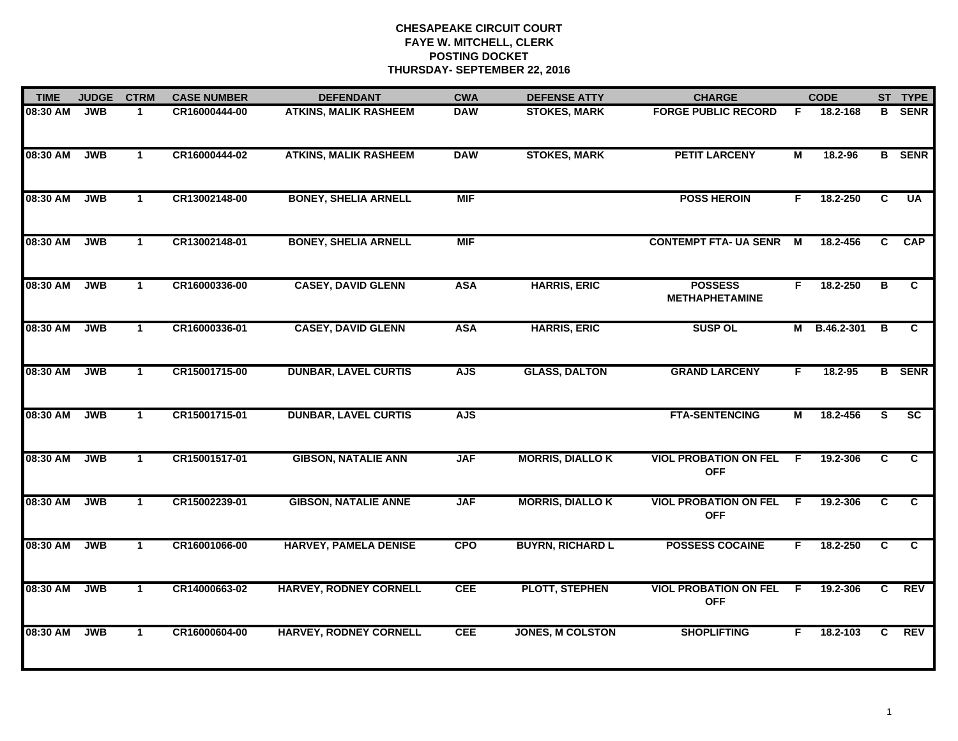| <b>TIME</b> | <b>JUDGE</b> | <b>CTRM</b>          | <b>CASE NUMBER</b> | <b>DEFENDANT</b>              | <b>CWA</b> | <b>DEFENSE ATTY</b>     | <b>CHARGE</b>                              |                         | <b>CODE</b> |                | ST TYPE         |
|-------------|--------------|----------------------|--------------------|-------------------------------|------------|-------------------------|--------------------------------------------|-------------------------|-------------|----------------|-----------------|
| 08:30 AM    | <b>JWB</b>   | $\mathbf 1$          | CR16000444-00      | <b>ATKINS, MALIK RASHEEM</b>  | <b>DAW</b> | <b>STOKES, MARK</b>     | <b>FORGE PUBLIC RECORD</b>                 | F                       | 18.2-168    | в              | <b>SENR</b>     |
| 08:30 AM    | <b>JWB</b>   | $\mathbf{1}$         | CR16000444-02      | <b>ATKINS, MALIK RASHEEM</b>  | <b>DAW</b> | <b>STOKES, MARK</b>     | <b>PETIT LARCENY</b>                       | $\overline{\mathsf{M}}$ | 18.2-96     |                | <b>B</b> SENR   |
| 08:30 AM    | <b>JWB</b>   | $\mathbf{1}$         | CR13002148-00      | <b>BONEY, SHELIA ARNELL</b>   | <b>MIF</b> |                         | <b>POSS HEROIN</b>                         | F.                      | 18.2-250    | C              | <b>UA</b>       |
| 08:30 AM    | <b>JWB</b>   | $\mathbf 1$          | CR13002148-01      | <b>BONEY, SHELIA ARNELL</b>   | <b>MIF</b> |                         | <b>CONTEMPT FTA- UA SENR</b>               | M                       | 18.2-456    | C.             | <b>CAP</b>      |
| 08:30 AM    | <b>JWB</b>   | $\mathbf{1}$         | CR16000336-00      | <b>CASEY, DAVID GLENN</b>     | <b>ASA</b> | <b>HARRIS, ERIC</b>     | <b>POSSESS</b><br><b>METHAPHETAMINE</b>    | F.                      | 18.2-250    | в              | C               |
| 08:30 AM    | <b>JWB</b>   | $\mathbf{1}$         | CR16000336-01      | <b>CASEY, DAVID GLENN</b>     | <b>ASA</b> | <b>HARRIS, ERIC</b>     | <b>SUSP OL</b>                             | М                       | B.46.2-301  | в              | C               |
| 08:30 AM    | <b>JWB</b>   | $\mathbf{1}$         | CR15001715-00      | <b>DUNBAR, LAVEL CURTIS</b>   | <b>AJS</b> | <b>GLASS, DALTON</b>    | <b>GRAND LARCENY</b>                       | F.                      | $18.2 - 95$ |                | <b>B</b> SENR   |
| 08:30 AM    | <b>JWB</b>   | $\mathbf{1}$         | CR15001715-01      | <b>DUNBAR, LAVEL CURTIS</b>   | <b>AJS</b> |                         | <b>FTA-SENTENCING</b>                      | M                       | 18.2-456    | S.             | $\overline{sc}$ |
| 08:30 AM    | <b>JWB</b>   | $\blacktriangleleft$ | CR15001517-01      | <b>GIBSON, NATALIE ANN</b>    | <b>JAF</b> | <b>MORRIS, DIALLO K</b> | <b>VIOL PROBATION ON FEL</b><br><b>OFF</b> | F                       | 19.2-306    | C.             | C               |
| 08:30 AM    | <b>JWB</b>   | $\mathbf{1}$         | CR15002239-01      | <b>GIBSON, NATALIE ANNE</b>   | <b>JAF</b> | <b>MORRIS, DIALLO K</b> | <b>VIOL PROBATION ON FEL</b><br><b>OFF</b> | F.                      | 19.2-306    | C              | $\overline{c}$  |
| 08:30 AM    | <b>JWB</b>   | $\mathbf 1$          | CR16001066-00      | <b>HARVEY, PAMELA DENISE</b>  | <b>CPO</b> | <b>BUYRN, RICHARD L</b> | <b>POSSESS COCAINE</b>                     | F                       | 18.2-250    | C.             | C               |
| 08:30 AM    | <b>JWB</b>   | $\mathbf{1}$         | CR14000663-02      | <b>HARVEY, RODNEY CORNELL</b> | <b>CEE</b> | PLOTT, STEPHEN          | <b>VIOL PROBATION ON FEL</b><br><b>OFF</b> | E                       | 19.2-306    | $\overline{c}$ | <b>REV</b>      |
| 08:30 AM    | <b>JWB</b>   | $\mathbf 1$          | CR16000604-00      | <b>HARVEY, RODNEY CORNELL</b> | <b>CEE</b> | <b>JONES, M COLSTON</b> | <b>SHOPLIFTING</b>                         | F.                      | 18.2-103    | C              | <b>REV</b>      |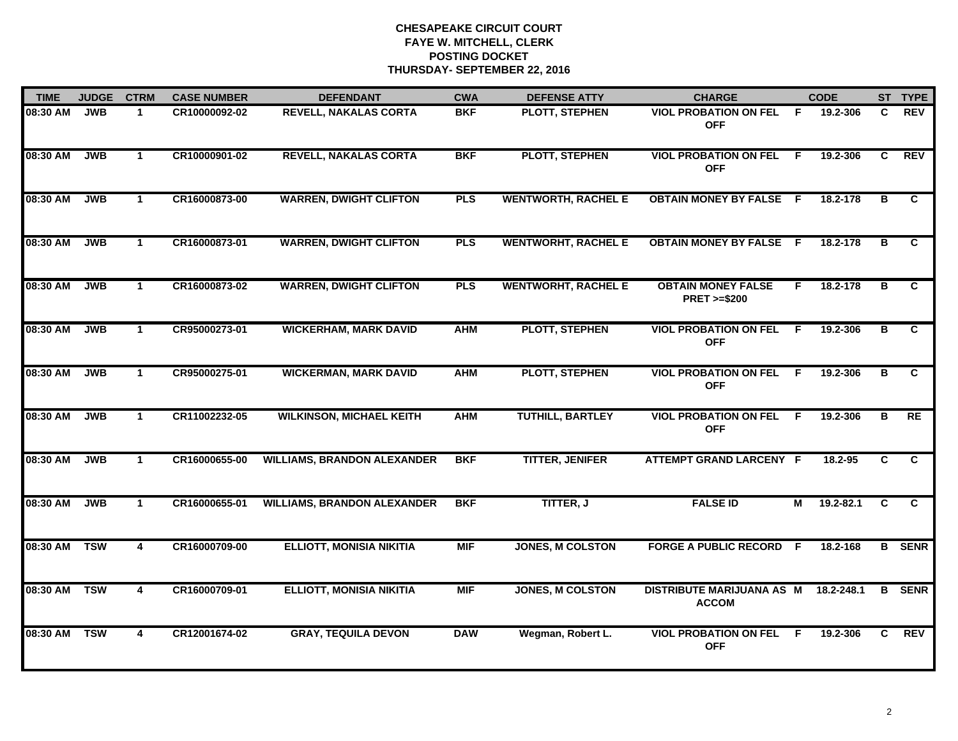| <b>TIME</b>  | <b>JUDGE</b> | <b>CTRM</b>    | <b>CASE NUMBER</b> | <b>DEFENDANT</b>                   | <b>CWA</b> | <b>DEFENSE ATTY</b>        | <b>CHARGE</b>                                       |              | <b>CODE</b>   |    | ST TYPE        |
|--------------|--------------|----------------|--------------------|------------------------------------|------------|----------------------------|-----------------------------------------------------|--------------|---------------|----|----------------|
| 08:30 AM     | <b>JWB</b>   | $\mathbf 1$    | CR10000092-02      | <b>REVELL, NAKALAS CORTA</b>       | <b>BKF</b> | PLOTT, STEPHEN             | <b>VIOL PROBATION ON FEL</b><br><b>OFF</b>          | $\mathsf{F}$ | 19.2-306      | C. | <b>REV</b>     |
| 08:30 AM     | <b>JWB</b>   | $\mathbf{1}$   | CR10000901-02      | <b>REVELL, NAKALAS CORTA</b>       | <b>BKF</b> | <b>PLOTT, STEPHEN</b>      | <b>VIOL PROBATION ON FEL</b><br><b>OFF</b>          | -F           | 19.2-306      | C  | <b>REV</b>     |
| 08:30 AM     | <b>JWB</b>   | $\mathbf{1}$   | CR16000873-00      | <b>WARREN, DWIGHT CLIFTON</b>      | <b>PLS</b> | <b>WENTWORTH, RACHEL E</b> | <b>OBTAIN MONEY BY FALSE F</b>                      |              | 18.2-178      | в  | C.             |
| 08:30 AM     | <b>JWB</b>   | 1              | CR16000873-01      | <b>WARREN, DWIGHT CLIFTON</b>      | <b>PLS</b> | <b>WENTWORHT, RACHEL E</b> | <b>OBTAIN MONEY BY FALSE F</b>                      |              | 18.2-178      | в  | C              |
| 08:30 AM     | <b>JWB</b>   | $\mathbf 1$    | CR16000873-02      | <b>WARREN, DWIGHT CLIFTON</b>      | <b>PLS</b> | <b>WENTWORHT, RACHEL E</b> | <b>OBTAIN MONEY FALSE</b><br><b>PRET &gt;=\$200</b> | F.           | 18.2-178      | в  | C.             |
| 08:30 AM     | <b>JWB</b>   | $\mathbf{1}$   | CR95000273-01      | <b>WICKERHAM, MARK DAVID</b>       | <b>AHM</b> | PLOTT, STEPHEN             | <b>VIOL PROBATION ON FEL</b><br><b>OFF</b>          | -F           | 19.2-306      | в  | C.             |
| 08:30 AM     | <b>JWB</b>   | $\mathbf{1}$   | CR95000275-01      | <b>WICKERMAN, MARK DAVID</b>       | <b>AHM</b> | <b>PLOTT, STEPHEN</b>      | <b>VIOL PROBATION ON FEL</b><br><b>OFF</b>          | - F          | 19.2-306      | в  | C              |
| 08:30 AM     | <b>JWB</b>   | $\mathbf{1}$   | CR11002232-05      | <b>WILKINSON, MICHAEL KEITH</b>    | <b>AHM</b> | <b>TUTHILL, BARTLEY</b>    | <b>VIOL PROBATION ON FEL</b><br><b>OFF</b>          | -F           | 19.2-306      | в  | RE             |
| 08:30 AM     | <b>JWB</b>   | $\mathbf 1$    | CR16000655-00      | <b>WILLIAMS, BRANDON ALEXANDER</b> | <b>BKF</b> | <b>TITTER, JENIFER</b>     | <b>ATTEMPT GRAND LARCENY F</b>                      |              | 18.2-95       | C. | C              |
| 08:30 AM     | JWB          | $\mathbf 1$    | CR16000655-01      | <b>WILLIAMS, BRANDON ALEXANDER</b> | <b>BKF</b> | TITTER, J                  | <b>FALSE ID</b>                                     | М            | $19.2 - 82.1$ | C  | $\overline{c}$ |
| 08:30 AM TSW |              | 4              | CR16000709-00      | <b>ELLIOTT, MONISIA NIKITIA</b>    | <b>MIF</b> | <b>JONES, M COLSTON</b>    | <b>FORGE A PUBLIC RECORD F</b>                      |              | 18.2-168      |    | <b>B</b> SENR  |
| 08:30 AM     | <b>TSW</b>   | $\overline{4}$ | CR16000709-01      | <b>ELLIOTT, MONISIA NIKITIA</b>    | <b>MIF</b> | <b>JONES, M COLSTON</b>    | <b>DISTRIBUTE MARIJUANA AS M</b><br><b>ACCOM</b>    |              | 18.2-248.1    | в  | <b>SENR</b>    |
| 08:30 AM     | <b>TSW</b>   | $\overline{4}$ | CR12001674-02      | <b>GRAY, TEQUILA DEVON</b>         | <b>DAW</b> | Wegman, Robert L.          | <b>VIOL PROBATION ON FEL</b><br><b>OFF</b>          | F            | 19.2-306      | C. | <b>REV</b>     |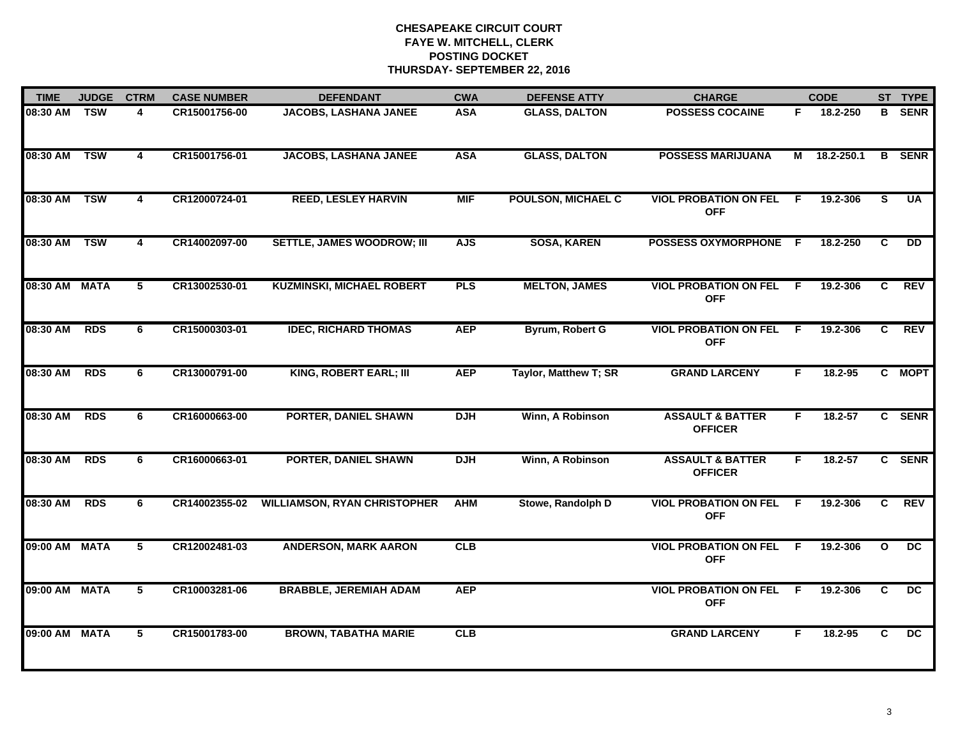| <b>TIME</b>   | <b>JUDGE</b> | <b>CTRM</b>    | <b>CASE NUMBER</b> | <b>DEFENDANT</b>                    | <b>CWA</b> | <b>DEFENSE ATTY</b>       | <b>CHARGE</b>                                 |     | <b>CODE</b> |                | ST TYPE         |
|---------------|--------------|----------------|--------------------|-------------------------------------|------------|---------------------------|-----------------------------------------------|-----|-------------|----------------|-----------------|
| 08:30 AM      | <b>TSW</b>   | 4              | CR15001756-00      | <b>JACOBS, LASHANA JANEE</b>        | <b>ASA</b> | <b>GLASS, DALTON</b>      | <b>POSSESS COCAINE</b>                        | F.  | 18.2-250    | B              | <b>SENR</b>     |
| 08:30 AM      | <b>TSW</b>   | $\overline{4}$ | CR15001756-01      | <b>JACOBS, LASHANA JANEE</b>        | <b>ASA</b> | <b>GLASS, DALTON</b>      | <b>POSSESS MARIJUANA</b>                      | М   | 18.2-250.1  | B              | <b>SENR</b>     |
| 08:30 AM      | <b>TSW</b>   | 4              | CR12000724-01      | <b>REED, LESLEY HARVIN</b>          | <b>MIF</b> | <b>POULSON, MICHAEL C</b> | <b>VIOL PROBATION ON FEL</b><br><b>OFF</b>    | F.  | 19.2-306    | $\overline{s}$ | <b>UA</b>       |
| 08:30 AM      | <b>TSW</b>   | 4              | CR14002097-00      | <b>SETTLE, JAMES WOODROW; III</b>   | <b>AJS</b> | <b>SOSA, KAREN</b>        | POSSESS OXYMORPHONE F                         |     | 18.2-250    | C              | <b>DD</b>       |
| 08:30 AM MATA |              | 5              | CR13002530-01      | <b>KUZMINSKI, MICHAEL ROBERT</b>    | <b>PLS</b> | <b>MELTON, JAMES</b>      | <b>VIOL PROBATION ON FEL</b><br><b>OFF</b>    | - F | 19.2-306    | C.             | <b>REV</b>      |
| 08:30 AM      | <b>RDS</b>   | 6              | CR15000303-01      | <b>IDEC, RICHARD THOMAS</b>         | <b>AEP</b> | Byrum, Robert G           | <b>VIOL PROBATION ON FEL</b><br><b>OFF</b>    | -F  | 19.2-306    | C.             | <b>REV</b>      |
| 08:30 AM      | <b>RDS</b>   | 6              | CR13000791-00      | <b>KING, ROBERT EARL; III</b>       | <b>AEP</b> | Taylor, Matthew T; SR     | <b>GRAND LARCENY</b>                          | F.  | $18.2 - 95$ |                | C MOPT          |
| 08:30 AM      | <b>RDS</b>   | 6              | CR16000663-00      | <b>PORTER, DANIEL SHAWN</b>         | <b>DJH</b> | Winn, A Robinson          | <b>ASSAULT &amp; BATTER</b><br><b>OFFICER</b> | F   | $18.2 - 57$ |                | C SENR          |
| 08:30 AM      | <b>RDS</b>   | 6              | CR16000663-01      | <b>PORTER, DANIEL SHAWN</b>         | <b>DJH</b> | Winn, A Robinson          | <b>ASSAULT &amp; BATTER</b><br><b>OFFICER</b> | F   | 18.2-57     |                | C SENR          |
| 08:30 AM      | <b>RDS</b>   | 6              | CR14002355-02      | <b>WILLIAMSON, RYAN CHRISTOPHER</b> | <b>AHM</b> | Stowe, Randolph D         | <b>VIOL PROBATION ON FEL</b><br><b>OFF</b>    | F.  | 19.2-306    | C.             | <b>REV</b>      |
| 09:00 AM MATA |              | 5              | CR12002481-03      | <b>ANDERSON, MARK AARON</b>         | CLB        |                           | <b>VIOL PROBATION ON FEL</b><br><b>OFF</b>    | F.  | 19.2-306    | $\mathbf{o}$   | DC.             |
| 09:00 AM MATA |              | 5              | CR10003281-06      | <b>BRABBLE, JEREMIAH ADAM</b>       | <b>AEP</b> |                           | <b>VIOL PROBATION ON FEL</b><br><b>OFF</b>    | F.  | 19.2-306    | C              | $\overline{DC}$ |
| 09:00 AM MATA |              | 5              | CR15001783-00      | <b>BROWN, TABATHA MARIE</b>         | CLB        |                           | <b>GRAND LARCENY</b>                          | F   | $18.2 - 95$ | C.             | $\overline{DC}$ |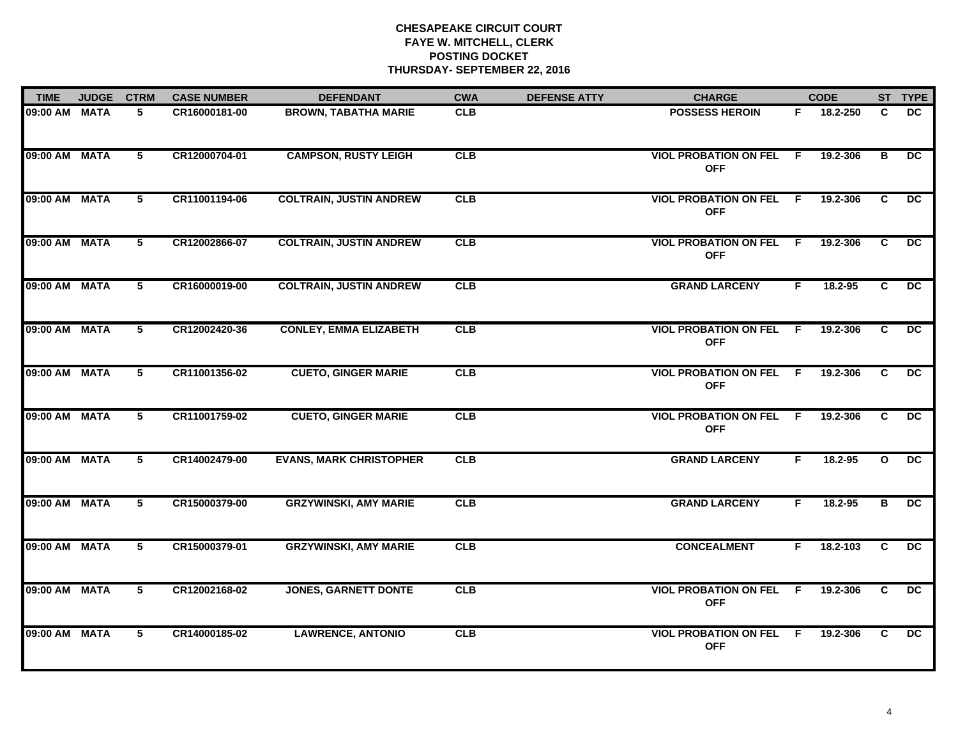| <b>TIME</b>   | <b>JUDGE</b> | <b>CTRM</b>     | <b>CASE NUMBER</b> | <b>DEFENDANT</b>               | <b>CWA</b> | <b>DEFENSE ATTY</b> | <b>CHARGE</b>                                |     | <b>CODE</b> |              | ST TYPE         |
|---------------|--------------|-----------------|--------------------|--------------------------------|------------|---------------------|----------------------------------------------|-----|-------------|--------------|-----------------|
| 09:00 AM MATA |              | 5               | CR16000181-00      | <b>BROWN, TABATHA MARIE</b>    | <b>CLB</b> |                     | <b>POSSESS HEROIN</b>                        | F.  | 18.2-250    | C            | DC.             |
| 09:00 AM MATA |              | 5               | CR12000704-01      | <b>CAMPSON, RUSTY LEIGH</b>    | CLB        |                     | <b>VIOL PROBATION ON FEL</b><br><b>OFF</b>   | F   | 19.2-306    | в            | DC              |
| 09:00 AM MATA |              | 5               | CR11001194-06      | <b>COLTRAIN, JUSTIN ANDREW</b> | CLB        |                     | <b>VIOL PROBATION ON FEL</b><br><b>OFF</b>   | - F | 19.2-306    | C            | $\overline{DC}$ |
| 09:00 AM MATA |              | 5               | CR12002866-07      | <b>COLTRAIN, JUSTIN ANDREW</b> | CLB        |                     | <b>VIOL PROBATION ON FEL</b><br><b>OFF</b>   | - F | 19.2-306    | C            | DC.             |
| 09:00 AM MATA |              | 5               | CR16000019-00      | <b>COLTRAIN, JUSTIN ANDREW</b> | CLB        |                     | <b>GRAND LARCENY</b>                         | F.  | 18.2-95     | C            | DC.             |
| 09:00 AM MATA |              | 5               | CR12002420-36      | <b>CONLEY, EMMA ELIZABETH</b>  | CLB        |                     | <b>VIOL PROBATION ON FEL</b><br><b>OFF</b>   | F.  | 19.2-306    | C            | DC              |
| 09:00 AM MATA |              | 5               | CR11001356-02      | <b>CUETO, GINGER MARIE</b>     | CLB        |                     | <b>VIOL PROBATION ON FEL F</b><br><b>OFF</b> |     | 19.2-306    | C            | DC.             |
| 09:00 AM MATA |              | 5               | CR11001759-02      | <b>CUETO, GINGER MARIE</b>     | CLB        |                     | <b>VIOL PROBATION ON FEL</b><br><b>OFF</b>   | -F  | 19.2-306    | C            | DC              |
| 09:00 AM MATA |              | 5               | CR14002479-00      | <b>EVANS, MARK CHRISTOPHER</b> | CLB        |                     | <b>GRAND LARCENY</b>                         | F   | 18.2-95     | $\mathbf{o}$ | DC              |
| 09:00 AM MATA |              | 5               | CR15000379-00      | <b>GRZYWINSKI, AMY MARIE</b>   | CLB        |                     | <b>GRAND LARCENY</b>                         | F.  | $18.2 - 95$ | в            | $\overline{DC}$ |
| 09:00 AM MATA |              | $5\overline{ }$ | CR15000379-01      | <b>GRZYWINSKI, AMY MARIE</b>   | CLB        |                     | <b>CONCEALMENT</b>                           | F.  | 18.2-103    | C            | DC              |
| 09:00 AM MATA |              | 5               | CR12002168-02      | <b>JONES, GARNETT DONTE</b>    | CLB        |                     | <b>VIOL PROBATION ON FEL</b><br><b>OFF</b>   | F.  | 19.2-306    | C            | DC              |
| 09:00 AM MATA |              | 5               | CR14000185-02      | <b>LAWRENCE, ANTONIO</b>       | CLB        |                     | <b>VIOL PROBATION ON FEL F</b><br><b>OFF</b> |     | 19.2-306    | C.           | DC              |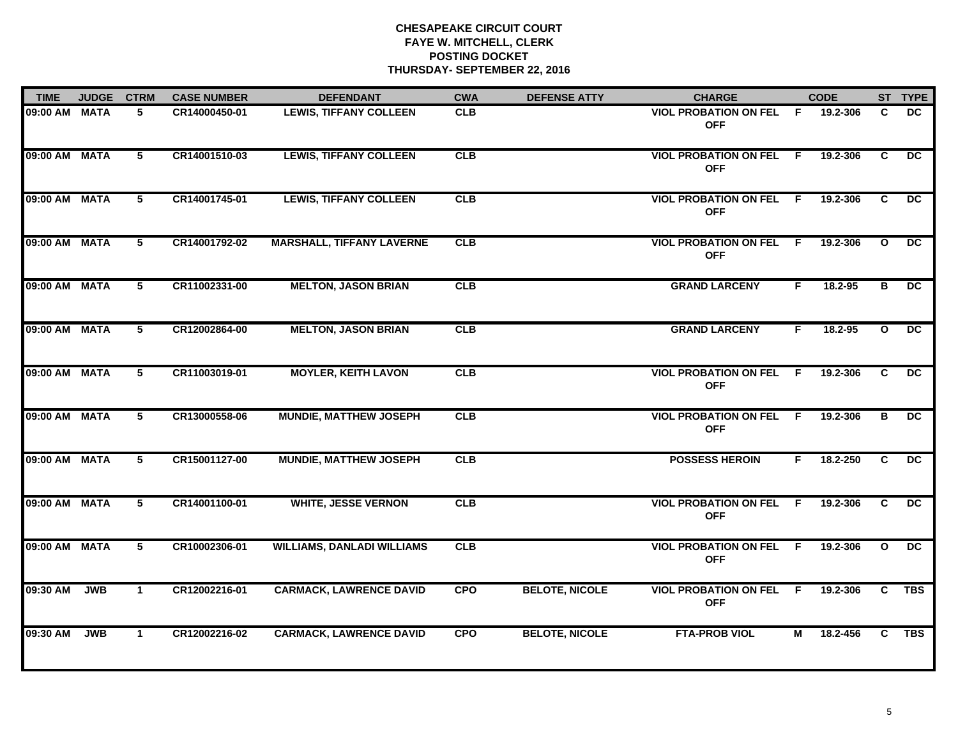| <b>TIME</b>   | <b>JUDGE</b> | <b>CTRM</b>    | <b>CASE NUMBER</b> | <b>DEFENDANT</b>                  | <b>CWA</b> | <b>DEFENSE ATTY</b>   | <b>CHARGE</b>                                |     | <b>CODE</b> |              | ST TYPE         |
|---------------|--------------|----------------|--------------------|-----------------------------------|------------|-----------------------|----------------------------------------------|-----|-------------|--------------|-----------------|
| 09:00 AM      | <b>MATA</b>  | 5              | CR14000450-01      | <b>LEWIS, TIFFANY COLLEEN</b>     | <b>CLB</b> |                       | <b>VIOL PROBATION ON FEL</b><br><b>OFF</b>   | F.  | 19.2-306    | C.           | DC.             |
| 09:00 AM      | <b>MATA</b>  | $5^{\circ}$    | CR14001510-03      | <b>LEWIS, TIFFANY COLLEEN</b>     | CLB        |                       | <b>VIOL PROBATION ON FEL F</b><br><b>OFF</b> |     | 19.2-306    | C            | DC.             |
| 09:00 AM      | <b>MATA</b>  | $\overline{5}$ | CR14001745-01      | <b>LEWIS, TIFFANY COLLEEN</b>     | CLB        |                       | <b>VIOL PROBATION ON FEL</b><br><b>OFF</b>   | F   | 19.2-306    | C            | $\overline{DC}$ |
| 09:00 AM MATA |              | 5              | CR14001792-02      | <b>MARSHALL, TIFFANY LAVERNE</b>  | <b>CLB</b> |                       | <b>VIOL PROBATION ON FEL F</b><br><b>OFF</b> |     | 19.2-306    | $\mathbf{o}$ | DC.             |
| 09:00 AM MATA |              | 5              | CR11002331-00      | <b>MELTON, JASON BRIAN</b>        | CLB        |                       | <b>GRAND LARCENY</b>                         | F.  | 18.2-95     | в            | $\overline{DC}$ |
| 09:00 AM MATA |              | 5              | CR12002864-00      | <b>MELTON, JASON BRIAN</b>        | CLB        |                       | <b>GRAND LARCENY</b>                         | F.  | 18.2-95     | $\mathbf{o}$ | DC.             |
| 09:00 AM MATA |              | $5^{\circ}$    | CR11003019-01      | <b>MOYLER, KEITH LAVON</b>        | CLB        |                       | <b>VIOL PROBATION ON FEL</b><br><b>OFF</b>   | F   | 19.2-306    | C            | $\overline{DC}$ |
| 09:00 AM MATA |              | 5              | CR13000558-06      | <b>MUNDIE, MATTHEW JOSEPH</b>     | CLB        |                       | <b>VIOL PROBATION ON FEL F</b><br><b>OFF</b> |     | 19.2-306    | в            | DC              |
| 09:00 AM      | <b>MATA</b>  | 5              | CR15001127-00      | <b>MUNDIE, MATTHEW JOSEPH</b>     | CLB        |                       | <b>POSSESS HEROIN</b>                        | F.  | 18.2-250    | C            | DC.             |
| 09:00 AM MATA |              | 5              | CR14001100-01      | <b>WHITE, JESSE VERNON</b>        | CLB        |                       | <b>VIOL PROBATION ON FEL</b><br><b>OFF</b>   | - F | 19.2-306    | C            | $\overline{DC}$ |
| 09:00 AM MATA |              | $5^{\circ}$    | CR10002306-01      | <b>WILLIAMS, DANLADI WILLIAMS</b> | CLB        |                       | <b>VIOL PROBATION ON FEL F</b><br><b>OFF</b> |     | 19.2-306    | $\mathbf{o}$ | $\overline{DC}$ |
| 09:30 AM      | <b>JWB</b>   | $\mathbf{1}$   | CR12002216-01      | <b>CARMACK, LAWRENCE DAVID</b>    | <b>CPO</b> | <b>BELOTE, NICOLE</b> | <b>VIOL PROBATION ON FEL</b><br><b>OFF</b>   | F.  | 19.2-306    | C.           | <b>TBS</b>      |
| 09:30 AM      | <b>JWB</b>   | $\mathbf 1$    | CR12002216-02      | <b>CARMACK, LAWRENCE DAVID</b>    | <b>CPO</b> | <b>BELOTE, NICOLE</b> | <b>FTA-PROB VIOL</b>                         | М   | 18.2-456    | $\mathbf{C}$ | <b>TBS</b>      |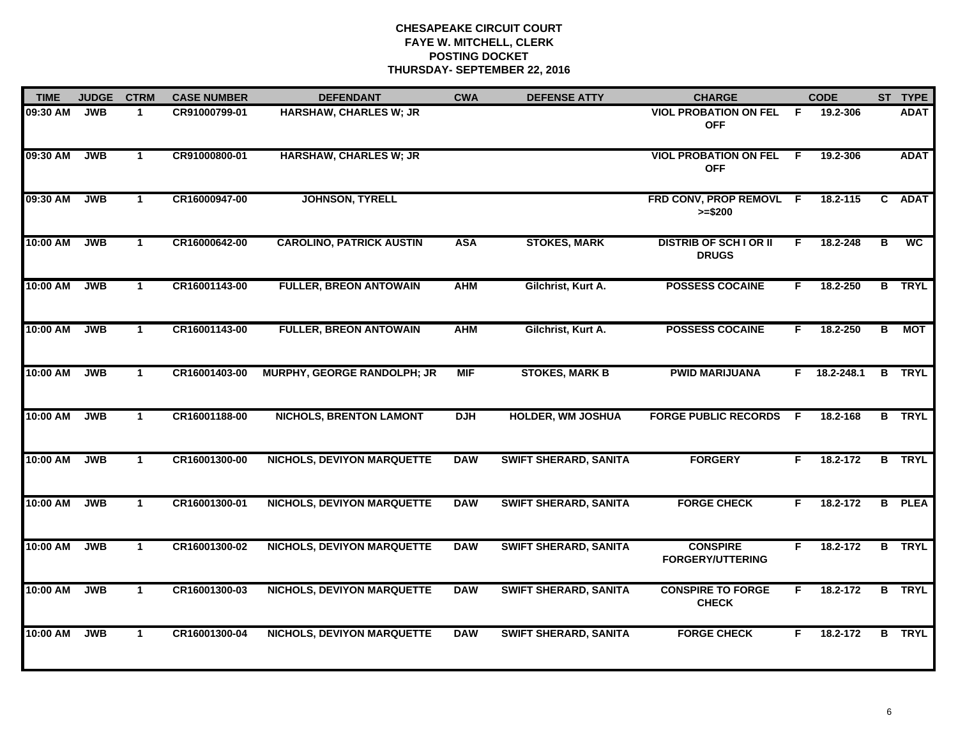| <b>TIME</b> | <b>JUDGE</b> | <b>CTRM</b>  | <b>CASE NUMBER</b> | <b>DEFENDANT</b>                   | <b>CWA</b> | <b>DEFENSE ATTY</b>          | <b>CHARGE</b>                                 |     | <b>CODE</b>    |   | ST TYPE       |
|-------------|--------------|--------------|--------------------|------------------------------------|------------|------------------------------|-----------------------------------------------|-----|----------------|---|---------------|
| 09:30 AM    | <b>JWB</b>   | $\mathbf{1}$ | CR91000799-01      | HARSHAW, CHARLES W; JR             |            |                              | <b>VIOL PROBATION ON FEL F</b><br><b>OFF</b>  |     | 19.2-306       |   | <b>ADAT</b>   |
| 09:30 AM    | <b>JWB</b>   | $\mathbf{1}$ | CR91000800-01      | <b>HARSHAW, CHARLES W; JR</b>      |            |                              | <b>VIOL PROBATION ON FEL</b><br><b>OFF</b>    | F.  | 19.2-306       |   | <b>ADAT</b>   |
| 09:30 AM    | <b>JWB</b>   | $\mathbf 1$  | CR16000947-00      | <b>JOHNSON, TYRELL</b>             |            |                              | FRD CONV, PROP REMOVL F<br>$>= $200$          |     | 18.2-115       |   | C ADAT        |
| 10:00 AM    | <b>JWB</b>   | -1           | CR16000642-00      | <b>CAROLINO, PATRICK AUSTIN</b>    | <b>ASA</b> | <b>STOKES, MARK</b>          | <b>DISTRIB OF SCH I OR II</b><br><b>DRUGS</b> | F.  | 18.2-248       | в | <b>WC</b>     |
| 10:00 AM    | <b>JWB</b>   | $\mathbf{1}$ | CR16001143-00      | <b>FULLER, BREON ANTOWAIN</b>      | <b>AHM</b> | Gilchrist, Kurt A.           | <b>POSSESS COCAINE</b>                        | F.  | 18.2-250       |   | <b>B</b> TRYL |
| 10:00 AM    | <b>JWB</b>   | $\mathbf 1$  | CR16001143-00      | <b>FULLER, BREON ANTOWAIN</b>      | <b>AHM</b> | Gilchrist, Kurt A.           | <b>POSSESS COCAINE</b>                        | F.  | 18.2-250       | B | <b>MOT</b>    |
| 10:00 AM    | <b>JWB</b>   | $\mathbf{1}$ | CR16001403-00      | <b>MURPHY, GEORGE RANDOLPH; JR</b> | <b>MIF</b> | <b>STOKES, MARK B</b>        | <b>PWID MARIJUANA</b>                         |     | $F$ 18.2-248.1 |   | <b>B</b> TRYL |
| 10:00 AM    | <b>JWB</b>   | $\mathbf{1}$ | CR16001188-00      | <b>NICHOLS, BRENTON LAMONT</b>     | <b>DJH</b> | <b>HOLDER, WM JOSHUA</b>     | <b>FORGE PUBLIC RECORDS</b>                   | - F | 18.2-168       |   | <b>B</b> TRYL |
| 10:00 AM    | <b>JWB</b>   | $\mathbf{1}$ | CR16001300-00      | <b>NICHOLS, DEVIYON MARQUETTE</b>  | <b>DAW</b> | <b>SWIFT SHERARD, SANITA</b> | <b>FORGERY</b>                                | F   | 18.2-172       |   | <b>B</b> TRYL |
| 10:00 AM    | <b>JWB</b>   | $\mathbf 1$  | CR16001300-01      | <b>NICHOLS, DEVIYON MARQUETTE</b>  | <b>DAW</b> | <b>SWIFT SHERARD, SANITA</b> | <b>FORGE CHECK</b>                            | F   | 18.2-172       |   | <b>B</b> PLEA |
| 10:00 AM    | <b>JWB</b>   | $\mathbf 1$  | CR16001300-02      | <b>NICHOLS, DEVIYON MARQUETTE</b>  | <b>DAW</b> | <b>SWIFT SHERARD, SANITA</b> | <b>CONSPIRE</b><br><b>FORGERY/UTTERING</b>    | F.  | 18.2-172       |   | <b>B</b> TRYL |
| 10:00 AM    | <b>JWB</b>   | $\mathbf{1}$ | CR16001300-03      | <b>NICHOLS, DEVIYON MARQUETTE</b>  | <b>DAW</b> | <b>SWIFT SHERARD, SANITA</b> | <b>CONSPIRE TO FORGE</b><br><b>CHECK</b>      | F.  | 18.2-172       |   | <b>B</b> TRYL |
| 10:00 AM    | <b>JWB</b>   | $\mathbf{1}$ | CR16001300-04      | <b>NICHOLS, DEVIYON MARQUETTE</b>  | <b>DAW</b> | <b>SWIFT SHERARD, SANITA</b> | <b>FORGE CHECK</b>                            | F.  | 18.2-172       |   | <b>B</b> TRYL |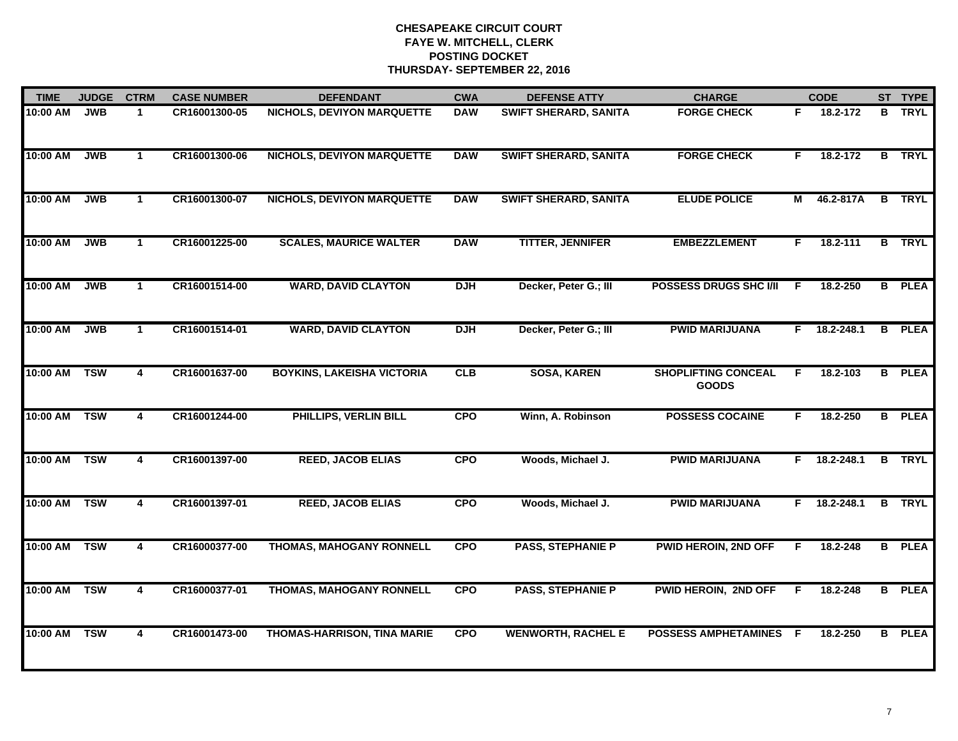| <b>TIME</b> | <b>JUDGE</b> | <b>CTRM</b>             | <b>CASE NUMBER</b> | <b>DEFENDANT</b>                  | <b>CWA</b> | <b>DEFENSE ATTY</b>          | <b>CHARGE</b>                              |    | <b>CODE</b>  |    | ST TYPE       |
|-------------|--------------|-------------------------|--------------------|-----------------------------------|------------|------------------------------|--------------------------------------------|----|--------------|----|---------------|
| 10:00 AM    | <b>JWB</b>   | $\blacktriangleleft$    | CR16001300-05      | NICHOLS, DEVIYON MARQUETTE        | <b>DAW</b> | <b>SWIFT SHERARD, SANITA</b> | <b>FORGE CHECK</b>                         | F  | 18.2-172     | B. | <b>TRYL</b>   |
| 10:00 AM    | <b>JWB</b>   | $\mathbf 1$             | CR16001300-06      | <b>NICHOLS, DEVIYON MARQUETTE</b> | <b>DAW</b> | <b>SWIFT SHERARD, SANITA</b> | <b>FORGE CHECK</b>                         | F  | 18.2-172     |    | <b>B</b> TRYL |
| 10:00 AM    | <b>JWB</b>   | $\mathbf 1$             | CR16001300-07      | <b>NICHOLS, DEVIYON MARQUETTE</b> | <b>DAW</b> | <b>SWIFT SHERARD, SANITA</b> | <b>ELUDE POLICE</b>                        | М  | 46.2-817A    |    | <b>B</b> TRYL |
| 10:00 AM    | <b>JWB</b>   | $\mathbf 1$             | CR16001225-00      | <b>SCALES, MAURICE WALTER</b>     | <b>DAW</b> | <b>TITTER, JENNIFER</b>      | <b>EMBEZZLEMENT</b>                        | F  | 18.2-111     |    | <b>B</b> TRYL |
| 10:00 AM    | <b>JWB</b>   | $\mathbf 1$             | CR16001514-00      | <b>WARD, DAVID CLAYTON</b>        | <b>DJH</b> | Decker, Peter G.; III        | <b>POSSESS DRUGS SHC I/II</b>              | F  | 18.2-250     |    | <b>B</b> PLEA |
| 10:00 AM    | <b>JWB</b>   | $\mathbf 1$             | CR16001514-01      | <b>WARD, DAVID CLAYTON</b>        | <b>DJH</b> | Decker, Peter G.; III        | <b>PWID MARIJUANA</b>                      |    | F 18.2-248.1 | B  | <b>PLEA</b>   |
| 10:00 AM    | <b>TSW</b>   | $\overline{4}$          | CR16001637-00      | <b>BOYKINS, LAKEISHA VICTORIA</b> | CLB        | <b>SOSA, KAREN</b>           | <b>SHOPLIFTING CONCEAL</b><br><b>GOODS</b> | F  | 18.2-103     |    | <b>B</b> PLEA |
| 10:00 AM    | <b>TSW</b>   | 4                       | CR16001244-00      | <b>PHILLIPS, VERLIN BILL</b>      | <b>CPO</b> | Winn, A. Robinson            | <b>POSSESS COCAINE</b>                     | F. | 18.2-250     |    | <b>B</b> PLEA |
| 10:00 AM    | <b>TSW</b>   | 4                       | CR16001397-00      | <b>REED, JACOB ELIAS</b>          | <b>CPO</b> | Woods, Michael J.            | <b>PWID MARIJUANA</b>                      | F. | 18.2-248.1   |    | <b>B</b> TRYL |
| 10:00 AM    | <b>TSW</b>   | $\overline{\mathbf{4}}$ | CR16001397-01      | <b>REED, JACOB ELIAS</b>          | <b>CPO</b> | Woods, Michael J.            | <b>PWID MARIJUANA</b>                      | F. | 18.2-248.1   |    | <b>B</b> TRYL |
| 10:00 AM    | <b>TSW</b>   | $\overline{\mathbf{4}}$ | CR16000377-00      | THOMAS, MAHOGANY RONNELL          | <b>CPO</b> | <b>PASS, STEPHANIE P</b>     | <b>PWID HEROIN, 2ND OFF</b>                | F  | 18.2-248     |    | <b>B</b> PLEA |
| 10:00 AM    | <b>TSW</b>   | $\overline{\mathbf{4}}$ | CR16000377-01      | THOMAS, MAHOGANY RONNELL          | <b>CPO</b> | <b>PASS, STEPHANIE P</b>     | PWID HEROIN, 2ND OFF                       | F. | 18.2-248     |    | <b>B</b> PLEA |
| 10:00 AM    | <b>TSW</b>   | 4                       | CR16001473-00      | THOMAS-HARRISON, TINA MARIE       | <b>CPO</b> | <b>WENWORTH, RACHEL E</b>    | POSSESS AMPHETAMINES F                     |    | 18.2-250     |    | <b>B</b> PLEA |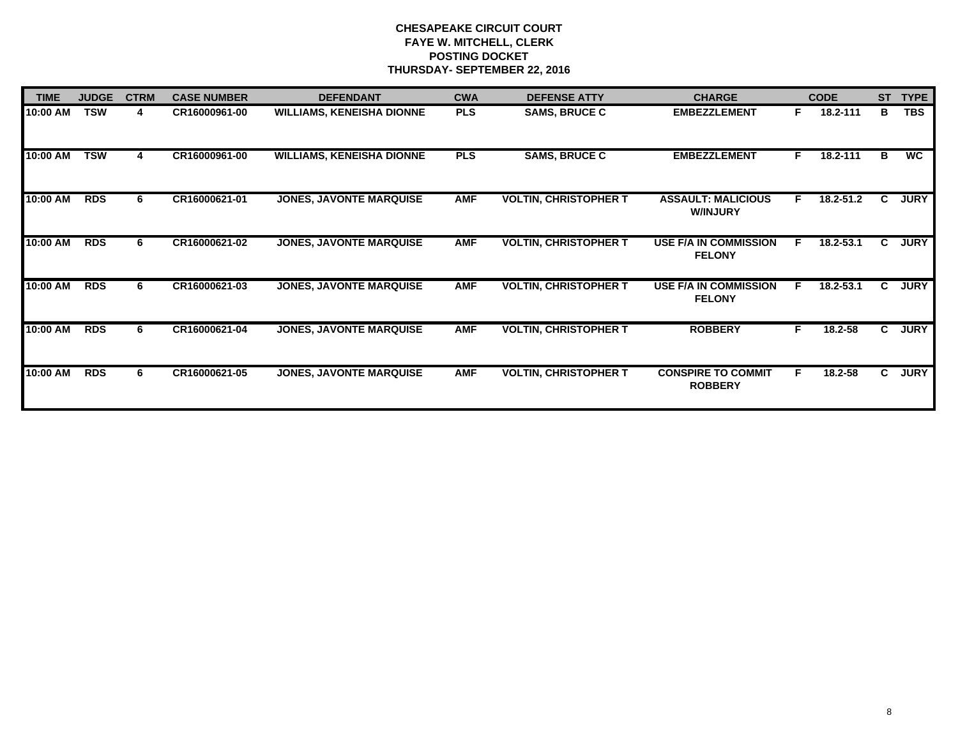| <b>TIME</b> | <b>JUDGE</b> | <b>CTRM</b> | <b>CASE NUMBER</b> | <b>DEFENDANT</b>                 | <b>CWA</b> | <b>DEFENSE ATTY</b>          | <b>CHARGE</b>                                 |    | <b>CODE</b> | <b>ST</b>    | <b>TYPE</b> |
|-------------|--------------|-------------|--------------------|----------------------------------|------------|------------------------------|-----------------------------------------------|----|-------------|--------------|-------------|
| 10:00 AM    | <b>TSW</b>   | 4           | CR16000961-00      | <b>WILLIAMS, KENEISHA DIONNE</b> | <b>PLS</b> | <b>SAMS, BRUCE C</b>         | <b>EMBEZZLEMENT</b>                           | F. | 18.2-111    | в            | <b>TBS</b>  |
| 10:00 AM    | <b>TSW</b>   | 4           | CR16000961-00      | <b>WILLIAMS, KENEISHA DIONNE</b> | <b>PLS</b> | <b>SAMS, BRUCE C</b>         | <b>EMBEZZLEMENT</b>                           | F  | 18.2-111    | В            | WC          |
| 10:00 AM    | <b>RDS</b>   | 6           | CR16000621-01      | <b>JONES, JAVONTE MARQUISE</b>   | <b>AMF</b> | <b>VOLTIN, CHRISTOPHER T</b> | <b>ASSAULT: MALICIOUS</b><br><b>W/INJURY</b>  | F. | 18.2-51.2   | C            | <b>JURY</b> |
| 10:00 AM    | <b>RDS</b>   | 6           | CR16000621-02      | <b>JONES, JAVONTE MARQUISE</b>   | <b>AMF</b> | <b>VOLTIN, CHRISTOPHER T</b> | <b>USE F/A IN COMMISSION</b><br><b>FELONY</b> | E  | 18.2-53.1   | C            | <b>JURY</b> |
| 10:00 AM    | <b>RDS</b>   | 6           | CR16000621-03      | <b>JONES, JAVONTE MARQUISE</b>   | <b>AMF</b> | <b>VOLTIN, CHRISTOPHER T</b> | <b>USE F/A IN COMMISSION</b><br><b>FELONY</b> | E  | 18.2-53.1   | C            | <b>JURY</b> |
| 10:00 AM    | <b>RDS</b>   | 6           | CR16000621-04      | <b>JONES, JAVONTE MARQUISE</b>   | <b>AMF</b> | <b>VOLTIN, CHRISTOPHER T</b> | <b>ROBBERY</b>                                | F  | 18.2-58     | $\mathbf{c}$ | <b>JURY</b> |
| 10:00 AM    | <b>RDS</b>   | 6           | CR16000621-05      | <b>JONES, JAVONTE MARQUISE</b>   | <b>AMF</b> | <b>VOLTIN, CHRISTOPHER T</b> | <b>CONSPIRE TO COMMIT</b><br><b>ROBBERY</b>   | F. | 18.2-58     | C            | <b>JURY</b> |